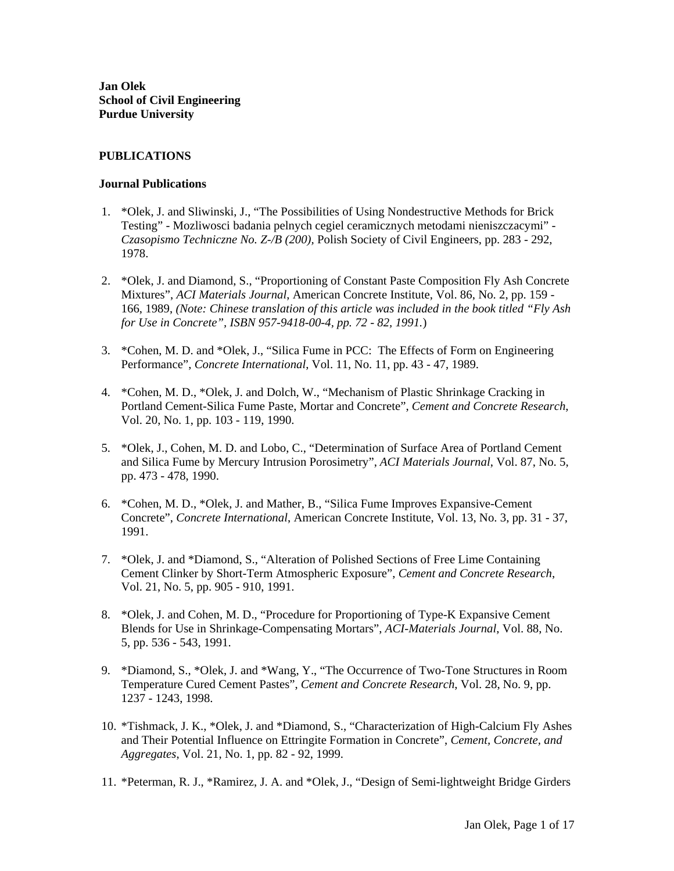**Jan Olek School of Civil Engineering Purdue University** 

# **PUBLICATIONS**

### **Journal Publications**

- 1. \*Olek, J. and Sliwinski, J., "The Possibilities of Using Nondestructive Methods for Brick Testing" - Mozliwosci badania pelnych cegiel ceramicznych metodami nieniszczacymi" - *Czasopismo Techniczne No. Z-/B (200),* Polish Society of Civil Engineers, pp. 283 - 292, 1978.
- 2. \*Olek, J. and Diamond, S., "Proportioning of Constant Paste Composition Fly Ash Concrete Mixtures", *ACI Materials Journal*, American Concrete Institute, Vol. 86, No. 2, pp. 159 - 166, 1989, *(Note: Chinese translation of this article was included in the book titled "Fly Ash for Use in Concrete", ISBN 957-9418-00-4, pp. 72 - 82, 1991.*)
- 3. \*Cohen, M. D. and \*Olek, J., "Silica Fume in PCC: The Effects of Form on Engineering Performance", *Concrete International*, Vol. 11, No. 11, pp. 43 - 47, 1989.
- 4. \*Cohen, M. D., \*Olek, J. and Dolch, W., "Mechanism of Plastic Shrinkage Cracking in Portland Cement-Silica Fume Paste, Mortar and Concrete", *Cement and Concrete Research*, Vol. 20, No. 1, pp. 103 - 119, 1990.
- 5. \*Olek, J., Cohen, M. D. and Lobo, C., "Determination of Surface Area of Portland Cement and Silica Fume by Mercury Intrusion Porosimetry", *ACI Materials Journal*, Vol. 87, No. 5, pp. 473 - 478, 1990.
- 6. \*Cohen, M. D., \*Olek, J. and Mather, B., "Silica Fume Improves Expansive-Cement Concrete", *Concrete International*, American Concrete Institute, Vol. 13, No. 3, pp. 31 - 37, 1991.
- 7. \*Olek, J. and \*Diamond, S., "Alteration of Polished Sections of Free Lime Containing Cement Clinker by Short-Term Atmospheric Exposure", *Cement and Concrete Research*, Vol. 21, No. 5, pp. 905 - 910, 1991.
- 8. \*Olek, J. and Cohen, M. D., "Procedure for Proportioning of Type-K Expansive Cement Blends for Use in Shrinkage-Compensating Mortars", *ACI-Materials Journal*, Vol. 88, No. 5, pp. 536 - 543, 1991.
- 9. \*Diamond, S., \*Olek, J. and \*Wang, Y., "The Occurrence of Two-Tone Structures in Room Temperature Cured Cement Pastes", *Cement and Concrete Research*, Vol. 28, No. 9, pp. 1237 - 1243, 1998.
- 10. \*Tishmack, J. K., \*Olek, J. and \*Diamond, S., "Characterization of High-Calcium Fly Ashes and Their Potential Influence on Ettringite Formation in Concrete", *Cement, Concrete, and Aggregates*, Vol. 21, No. 1, pp. 82 - 92, 1999.
- 11. \*Peterman, R. J., \*Ramirez, J. A. and \*Olek, J., "Design of Semi-lightweight Bridge Girders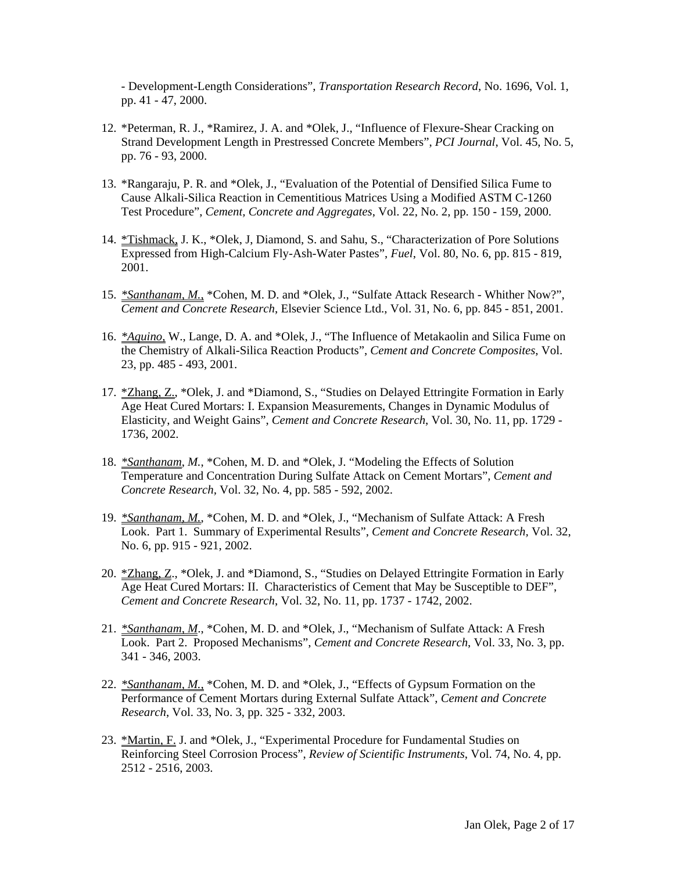- Development-Length Considerations", *Transportation Research Record*, No. 1696, Vol. 1, pp. 41 - 47, 2000.

- 12. \*Peterman, R. J., \*Ramirez, J. A. and \*Olek, J., "Influence of Flexure-Shear Cracking on Strand Development Length in Prestressed Concrete Members", *PCI Journal*, Vol. 45, No. 5, pp. 76 - 93, 2000.
- 13. \*Rangaraju, P. R. and \*Olek, J., "Evaluation of the Potential of Densified Silica Fume to Cause Alkali-Silica Reaction in Cementitious Matrices Using a Modified ASTM C-1260 Test Procedure", *Cement, Concrete and Aggregates*, Vol. 22, No. 2, pp. 150 - 159, 2000.
- 14. \*Tishmack, J. K., \*Olek, J, Diamond, S. and Sahu, S., "Characterization of Pore Solutions Expressed from High-Calcium Fly-Ash-Water Pastes", *Fuel*, Vol. 80, No. 6, pp. 815 - 819, 2001.
- 15. *\*Santhanam, M.*, \*Cohen, M. D. and \*Olek, J., "Sulfate Attack Research Whither Now?", *Cement and Concrete Research*, Elsevier Science Ltd., Vol. 31, No. 6, pp. 845 - 851, 2001.
- 16. *\*Aquino,* W., Lange, D. A. and \*Olek, J., "The Influence of Metakaolin and Silica Fume on the Chemistry of Alkali-Silica Reaction Products", *Cement and Concrete Composites*, Vol. 23, pp. 485 - 493, 2001.
- 17. \* Zhang, Z., \* Olek, J. and \* Diamond, S., "Studies on Delayed Ettringite Formation in Early Age Heat Cured Mortars: I. Expansion Measurements, Changes in Dynamic Modulus of Elasticity, and Weight Gains", *Cement and Concrete Research*, Vol. 30, No. 11, pp. 1729 - 1736, 2002.
- 18. *\*Santhanam*, *M.*, \*Cohen, M. D. and \*Olek, J. "Modeling the Effects of Solution Temperature and Concentration During Sulfate Attack on Cement Mortars", *Cement and Concrete Research,* Vol. 32, No. 4, pp. 585 - 592, 2002.
- 19. *\*Santhanam, M.*, \*Cohen, M. D. and \*Olek, J., "Mechanism of Sulfate Attack: A Fresh Look. Part 1. Summary of Experimental Results", *Cement and Concrete Research,* Vol. 32, No. 6, pp. 915 - 921, 2002.
- 20. \*Zhang, Z., \*Olek, J. and \*Diamond, S., "Studies on Delayed Ettringite Formation in Early Age Heat Cured Mortars: II. Characteristics of Cement that May be Susceptible to DEF", *Cement and Concrete Research*, Vol. 32, No. 11, pp. 1737 - 1742, 2002.
- 21. *\*Santhanam, M*., \*Cohen, M. D. and \*Olek, J., "Mechanism of Sulfate Attack: A Fresh Look. Part 2. Proposed Mechanisms", *Cement and Concrete Research*, Vol. 33, No. 3, pp. 341 - 346, 2003.
- 22. *\*Santhanam, M.,* \*Cohen, M. D. and \*Olek, J., "Effects of Gypsum Formation on the Performance of Cement Mortars during External Sulfate Attack", *Cement and Concrete Research*, Vol. 33, No. 3, pp. 325 - 332, 2003.
- 23. \*Martin, F. J. and \*Olek, J., "Experimental Procedure for Fundamental Studies on Reinforcing Steel Corrosion Process", *Review of Scientific Instruments*, Vol. 74, No. 4, pp. 2512 - 2516, 2003.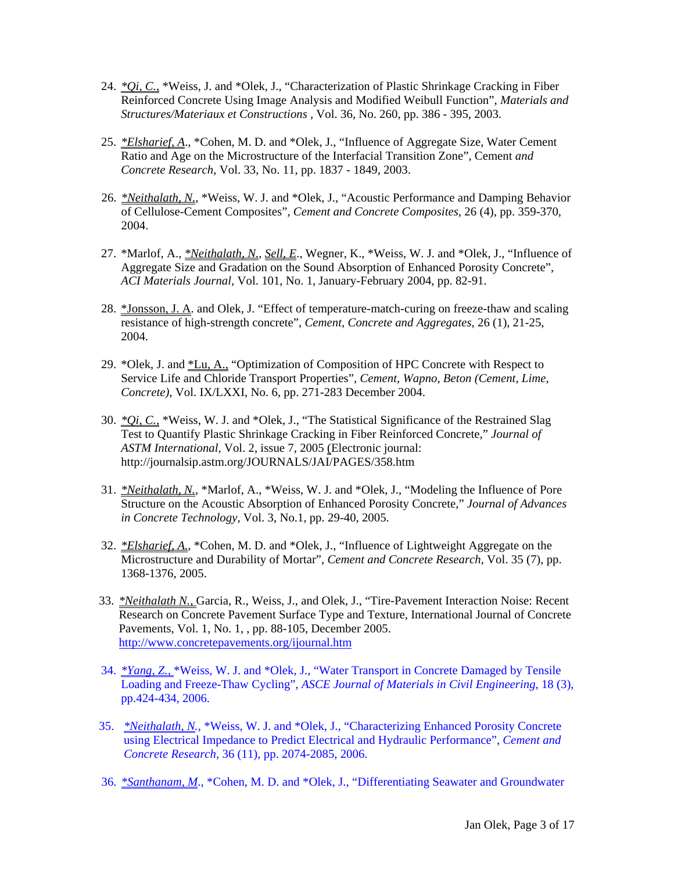- 24. *\*Qi, C.*, \*Weiss, J. and \*Olek, J., "Characterization of Plastic Shrinkage Cracking in Fiber Reinforced Concrete Using Image Analysis and Modified Weibull Function", *Materials and Structures/Materiaux et Constructions ,* Vol. 36, No. 260, pp. 386 - 395, 2003.
- 25. *\*Elsharief, A*., \*Cohen, M. D. and \*Olek, J., "Influence of Aggregate Size, Water Cement Ratio and Age on the Microstructure of the Interfacial Transition Zone", Cement *and Concrete Research*, Vol. 33, No. 11, pp. 1837 - 1849, 2003.
- 26. *\*Neithalath, N.*, \*Weiss, W. J. and \*Olek, J., "Acoustic Performance and Damping Behavior of Cellulose-Cement Composites", *Cement and Concrete Composites*, 26 (4), pp. 359-370, 2004.
- 27. \*Marlof, A., *\*Neithalath, N.*, *Sell, E*., Wegner, K., \*Weiss, W. J. and \*Olek, J., "Influence of Aggregate Size and Gradation on the Sound Absorption of Enhanced Porosity Concrete", *ACI Materials Journal,* Vol. 101, No. 1, January-February 2004, pp. 82-91.
- 28. \*Jonsson, J. A. and Olek, J. "Effect of temperature-match-curing on freeze-thaw and scaling resistance of high-strength concrete", *Cement, Concrete and Aggregates*, 26 (1), 21-25, 2004.
- 29. \*Olek, J. and \*Lu, A., "Optimization of Composition of HPC Concrete with Respect to Service Life and Chloride Transport Properties", *Cement, Wapno, Beton (Cement, Lime, Concrete)*, Vol. IX/LXXI, No. 6, pp. 271-283 December 2004.
- 30. *\*Qi, C.,* \*Weiss, W. J. and \*Olek, J., "The Statistical Significance of the Restrained Slag Test to Quantify Plastic Shrinkage Cracking in Fiber Reinforced Concrete," *Journal of ASTM International,* Vol. 2, issue 7, 2005 (Electronic journal: http://journalsip.astm.org/JOURNALS/JAI/PAGES/358.htm
- 31. *\*Neithalath, N.*, \*Marlof, A., \*Weiss, W. J. and \*Olek, J., "Modeling the Influence of Pore Structure on the Acoustic Absorption of Enhanced Porosity Concrete," *Journal of Advances in Concrete Technology,* Vol. 3, No.1, pp. 29-40, 2005.
- 32. *\*Elsharief, A.*, \*Cohen, M. D. and \*Olek, J., "Influence of Lightweight Aggregate on the Microstructure and Durability of Mortar", *Cement and Concrete Research,* Vol. 35 (7), pp. 1368-1376, 2005.
- 33. *\*Neithalath N.,* Garcia, R., Weiss, J., and Olek, J., "[Tire-Pavement Interaction Noise: Recent](http://www.concretepavements.org/IJCP/Vol%201%20No%201/Neithalath%20paper%206%20volume%201%20number%201.pdf)  [Research on Concrete Pavement Surface Type and Texture,](http://www.concretepavements.org/IJCP/Vol%201%20No%201/Neithalath%20paper%206%20volume%201%20number%201.pdf) International Journal of Concrete Pavements, Vol. 1, No. 1, , pp. 88-105, December 2005. <http://www.concretepavements.org/ijournal.htm>
- 34. *\*Yang, Z.,* \*Weiss, W. J. and \*Olek, J., "Water Transport in Concrete Damaged by Tensile Loading and Freeze-Thaw Cycling", *ASCE Journal of Materials in Civil Engineering,* 18 (3), pp.424-434, 2006.
- 35. *\*Neithalath, N.*, \*Weiss, W. J. and \*Olek, J., "Characterizing Enhanced Porosity Concrete using Electrical Impedance to Predict Electrical and Hydraulic Performance", *Cement and Concrete Research*, 36 (11), pp. 2074-2085, 2006.
- 36. *\*Santhanam, M*., \*Cohen, M. D. and \*Olek, J., "Differentiating Seawater and Groundwater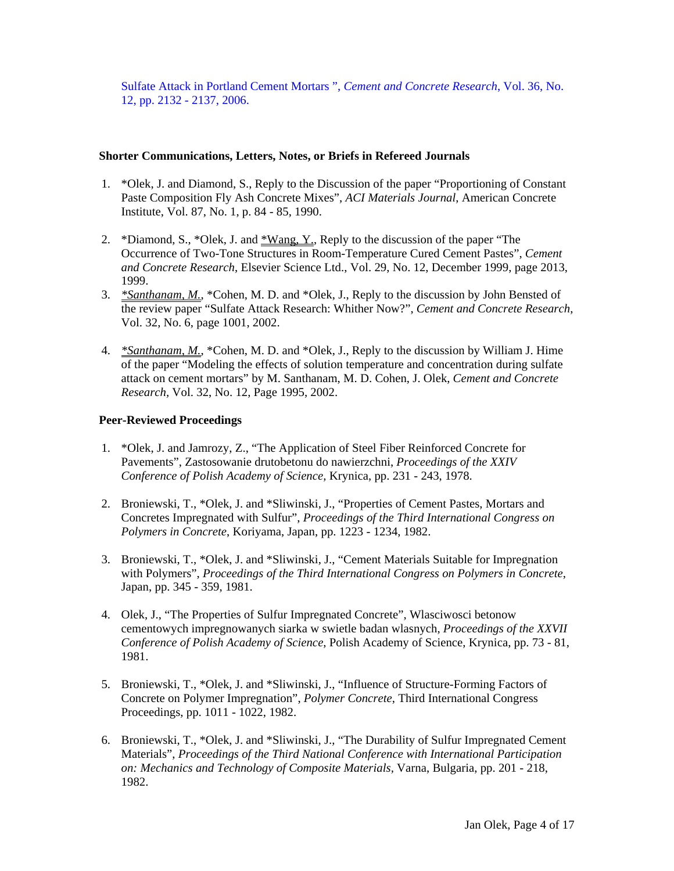Sulfate Attack in Portland Cement Mortars ", *Cement and Concrete Research*, Vol. 36, No. 12, pp. 2132 - 2137, 2006.

#### **Shorter Communications, Letters, Notes, or Briefs in Refereed Journals**

- 1. \*Olek, J. and Diamond, S., Reply to the Discussion of the paper "Proportioning of Constant Paste Composition Fly Ash Concrete Mixes", *ACI Materials Journal*, American Concrete Institute, Vol. 87, No. 1, p. 84 - 85, 1990.
- 2. \*Diamond, S., \*Olek, J. and  $*Wang, Y, Reply$  to the discussion of the paper "The Occurrence of Two-Tone Structures in Room-Temperature Cured Cement Pastes", *Cement and Concrete Research*, Elsevier Science Ltd., Vol. 29, No. 12, December 1999, page 2013, 1999.
- 3. *\*Santhanam, M.*, \*Cohen, M. D. and \*Olek, J., Reply to the discussion by John Bensted of the review paper "Sulfate Attack Research: Whither Now?", *Cement and Concrete Research*, Vol. 32, No. 6, page 1001, 2002.
- 4. *\*Santhanam, M.*, \*Cohen, M. D. and \*Olek, J., Reply to the discussion by William J. Hime of the paper "Modeling the effects of solution temperature and concentration during sulfate attack on cement mortars" by M. Santhanam, M. D. Cohen, J. Olek, *Cement and Concrete Research,* Vol. 32, No. 12, Page 1995, 2002.

#### **Peer-Reviewed Proceedings**

- 1. \*Olek, J. and Jamrozy, Z., "The Application of Steel Fiber Reinforced Concrete for Pavements", Zastosowanie drutobetonu do nawierzchni, *Proceedings of the XXIV Conference of Polish Academy of Science,* Krynica, pp. 231 - 243, 1978.
- 2. Broniewski, T., \*Olek, J. and \*Sliwinski, J., "Properties of Cement Pastes, Mortars and Concretes Impregnated with Sulfur", *Proceedings of the Third International Congress on Polymers in Concrete*, Koriyama, Japan, pp. 1223 - 1234, 1982.
- 3. Broniewski, T., \*Olek, J. and \*Sliwinski, J., "Cement Materials Suitable for Impregnation with Polymers", *Proceedings of the Third International Congress on Polymers in Concrete*, Japan, pp. 345 - 359, 1981.
- 4. Olek, J., "The Properties of Sulfur Impregnated Concrete", Wlasciwosci betonow cementowych impregnowanych siarka w swietle badan wlasnych, *Proceedings of the XXVII Conference of Polish Academy of Science*, Polish Academy of Science, Krynica, pp. 73 - 81, 1981.
- 5. Broniewski, T., \*Olek, J. and \*Sliwinski, J., "Influence of Structure-Forming Factors of Concrete on Polymer Impregnation", *Polymer Concrete*, Third International Congress Proceedings, pp. 1011 - 1022, 1982.
- 6. Broniewski, T., \*Olek, J. and \*Sliwinski, J., "The Durability of Sulfur Impregnated Cement Materials", *Proceedings of the Third National Conference with International Participation on: Mechanics and Technology of Composite Materials,* Varna, Bulgaria, pp. 201 - 218, 1982.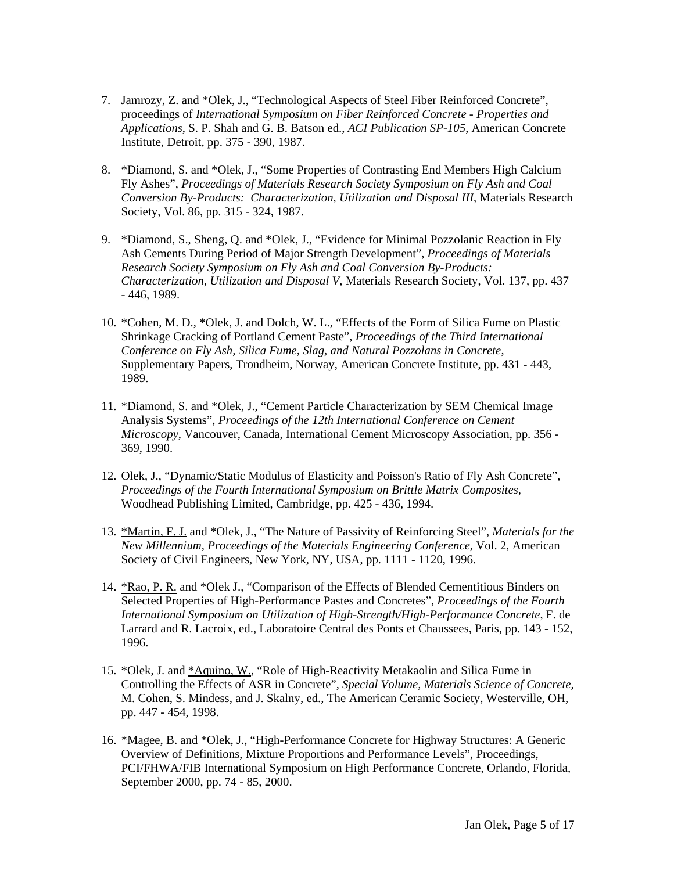- 7. Jamrozy, Z. and \*Olek, J., "Technological Aspects of Steel Fiber Reinforced Concrete", proceedings of *International Symposium on Fiber Reinforced Concrete - Properties and Applications*, S. P. Shah and G. B. Batson ed., *ACI Publication SP-105*, American Concrete Institute, Detroit, pp. 375 - 390, 1987.
- 8. \*Diamond, S. and \*Olek, J., "Some Properties of Contrasting End Members High Calcium Fly Ashes", *Proceedings of Materials Research Society Symposium on Fly Ash and Coal Conversion By-Products: Characterization, Utilization and Disposal III*, Materials Research Society, Vol. 86, pp. 315 - 324, 1987.
- 9. \* Diamond, S., Sheng, Q. and \* Olek, J., "Evidence for Minimal Pozzolanic Reaction in Fly Ash Cements During Period of Major Strength Development", *Proceedings of Materials Research Society Symposium on Fly Ash and Coal Conversion By-Products: Characterization, Utilization and Disposal V*, Materials Research Society, Vol. 137, pp. 437 - 446, 1989.
- 10. \*Cohen, M. D., \*Olek, J. and Dolch, W. L., "Effects of the Form of Silica Fume on Plastic Shrinkage Cracking of Portland Cement Paste", *Proceedings of the Third International Conference on Fly Ash, Silica Fume, Slag, and Natural Pozzolans in Concrete*, Supplementary Papers, Trondheim, Norway, American Concrete Institute, pp. 431 - 443, 1989.
- 11. \*Diamond, S. and \*Olek, J., "Cement Particle Characterization by SEM Chemical Image Analysis Systems", *Proceedings of the 12th International Conference on Cement Microscopy*, Vancouver, Canada, International Cement Microscopy Association, pp. 356 - 369, 1990.
- 12. Olek, J., "Dynamic/Static Modulus of Elasticity and Poisson's Ratio of Fly Ash Concrete", *Proceedings of the Fourth International Symposium on Brittle Matrix Composites,*  Woodhead Publishing Limited, Cambridge, pp. 425 - 436, 1994.
- 13. \*Martin, F. J. and \*Olek, J., "The Nature of Passivity of Reinforcing Steel", *Materials for the New Millennium, Proceedings of the Materials Engineering Conference*, Vol. 2, American Society of Civil Engineers, New York, NY, USA, pp. 1111 - 1120, 1996.
- 14. \*Rao, P. R. and \*Olek J., "Comparison of the Effects of Blended Cementitious Binders on Selected Properties of High-Performance Pastes and Concretes", *Proceedings of the Fourth International Symposium on Utilization of High-Strength/High-Performance Concrete*, F. de Larrard and R. Lacroix, ed., Laboratoire Central des Ponts et Chaussees, Paris, pp. 143 - 152, 1996.
- 15. \*Olek, J. and <u>\*Aquino, W.</u>, "Role of High-Reactivity Metakaolin and Silica Fume in Controlling the Effects of ASR in Concrete", *Special Volume, Materials Science of Concrete,*  M. Cohen, S. Mindess, and J. Skalny, ed., The American Ceramic Society, Westerville, OH, pp. 447 - 454, 1998.
- 16. \*Magee, B. and \*Olek, J., "High-Performance Concrete for Highway Structures: A Generic Overview of Definitions, Mixture Proportions and Performance Levels", Proceedings, PCI/FHWA/FIB International Symposium on High Performance Concrete, Orlando, Florida, September 2000, pp. 74 - 85, 2000.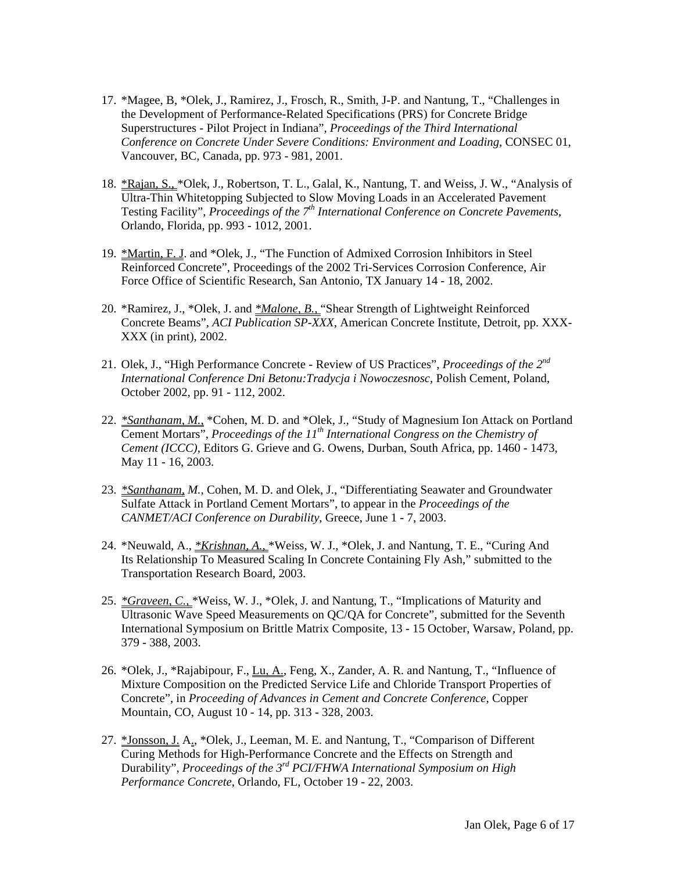- 17. \*Magee, B, \*Olek, J., Ramirez, J., Frosch, R., Smith, J-P. and Nantung, T., "Challenges in the Development of Performance-Related Specifications (PRS) for Concrete Bridge Superstructures - Pilot Project in Indiana", *Proceedings of the Third International Conference on Concrete Under Severe Conditions: Environment and Loading*, CONSEC 01, Vancouver, BC, Canada, pp. 973 - 981, 2001.
- 18. \*Rajan, S., \*Olek, J., Robertson, T. L., Galal, K., Nantung, T. and Weiss, J. W., "Analysis of Ultra-Thin Whitetopping Subjected to Slow Moving Loads in an Accelerated Pavement Testing Facility", *Proceedings of the 7th International Conference on Concrete Pavements*, Orlando, Florida, pp. 993 - 1012, 2001.
- 19. \*Martin, F. J. and \*Olek, J., "The Function of Admixed Corrosion Inhibitors in Steel Reinforced Concrete", Proceedings of the 2002 Tri-Services Corrosion Conference, Air Force Office of Scientific Research, San Antonio, TX January 14 - 18, 2002.
- 20. \*Ramirez, J., \*Olek, J. and *\*Malone, B.,* "Shear Strength of Lightweight Reinforced Concrete Beams", *ACI Publication SP-XXX*, American Concrete Institute, Detroit, pp. XXX-XXX (in print), 2002.
- 21. Olek, J., "High Performance Concrete Review of US Practices", *Proceedings of the 2nd International Conference Dni Betonu:Tradycja i Nowoczesnosc*, Polish Cement, Poland, October 2002, pp. 91 - 112, 2002.
- 22. *\*Santhanam, M.*, \*Cohen, M. D. and \*Olek, J., "Study of Magnesium Ion Attack on Portland Cement Mortars", *Proceedings of the 11<sup>th</sup> International Congress on the Chemistry of Cement (ICCC)*, Editors G. Grieve and G. Owens, Durban, South Africa, pp. 1460 - 1473, May 11 - 16, 2003.
- 23. *\*Santhanam, M.*, Cohen, M. D. and Olek, J., "Differentiating Seawater and Groundwater Sulfate Attack in Portland Cement Mortars", to appear in the *Proceedings of the CANMET/ACI Conference on Durability*, Greece, June 1 - 7, 2003.
- 24. \*Neuwald, A., *\*Krishnan, A.*, \*Weiss, W. J., \*Olek, J. and Nantung, T. E., "Curing And Its Relationship To Measured Scaling In Concrete Containing Fly Ash," submitted to the Transportation Research Board, 2003.
- 25. *\*Graveen, C.,* \*Weiss, W. J., \*Olek, J. and Nantung, T., "Implications of Maturity and Ultrasonic Wave Speed Measurements on QC/QA for Concrete", submitted for the Seventh International Symposium on Brittle Matrix Composite, 13 - 15 October, Warsaw, Poland, pp. 379 - 388, 2003.
- 26. \*Olek, J., \*Rajabipour, F., Lu, A., Feng, X., Zander, A. R. and Nantung, T., "Influence of Mixture Composition on the Predicted Service Life and Chloride Transport Properties of Concrete", in *Proceeding of Advances in Cement and Concrete Conference*, Copper Mountain, CO, August 10 - 14, pp. 313 - 328, 2003.
- 27. \*Jonsson, J. A., \*Olek, J., Leeman, M. E. and Nantung, T., "Comparison of Different Curing Methods for High-Performance Concrete and the Effects on Strength and Durability", *Proceedings of the 3rd PCI/FHWA International Symposium on High Performance Concrete*, Orlando, FL, October 19 - 22, 2003.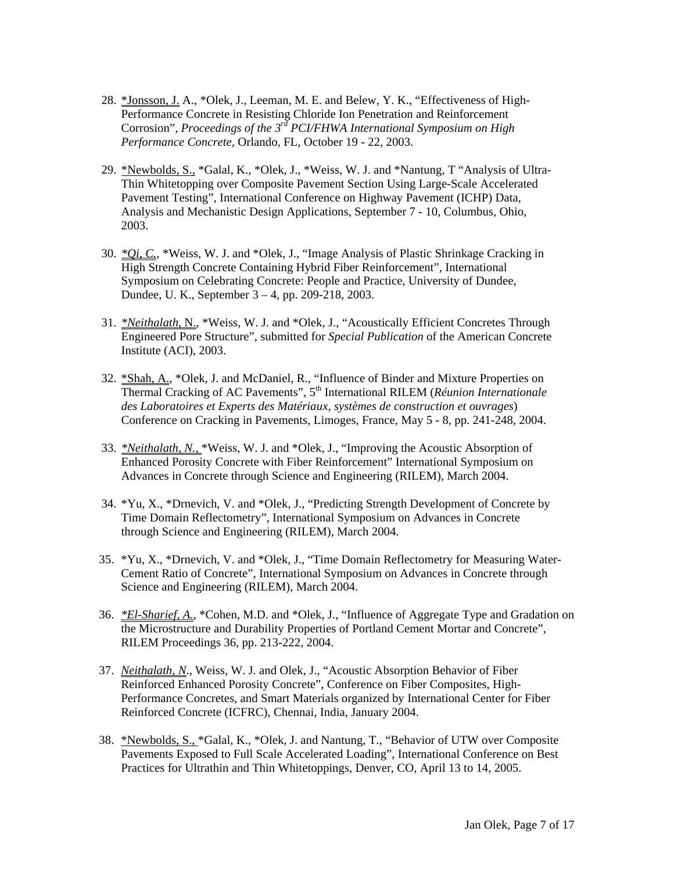- 28. \*Jonsson, J. A., \*Olek, J., Leeman, M. E. and Belew, Y. K., "Effectiveness of High-Performance Concrete in Resisting Chloride Ion Penetration and Reinforcement Corrosion", *Proceedings of the 3rd PCI/FHWA International Symposium on High Performance Concrete*, Orlando, FL, October 19 - 22, 2003.
- 29. \*Newbolds, S., \*Galal, K., \*Olek, J., \*Weiss, W. J. and \*Nantung, T "Analysis of Ultra-Thin Whitetopping over Composite Pavement Section Using Large-Scale Accelerated Pavement Testing", International Conference on Highway Pavement (ICHP) Data, Analysis and Mechanistic Design Applications, September 7 - 10, Columbus, Ohio, 2003.
- 30. *\*Qi, C.*, \*Weiss, W. J. and \*Olek, J., "Image Analysis of Plastic Shrinkage Cracking in High Strength Concrete Containing Hybrid Fiber Reinforcement", International Symposium on Celebrating Concrete: People and Practice, University of Dundee, Dundee, U. K., September 3 – 4, pp. 209-218, 2003.
- 31. *\*Neithalath,* N., \*Weiss, W. J. and \*Olek, J., "Acoustically Efficient Concretes Through Engineered Pore Structure", submitted for *Special Publication* of the American Concrete Institute (ACI), 2003.
- 32. \*Shah, A., \*Olek, J. and McDaniel, R., "Influence of Binder and Mixture Properties on Thermal Cracking of AC Pavements", 5<sup>th</sup> International RILEM (*Réunion Internationale des Laboratoires et Experts des Matériaux, systèmes de construction et ouvrages*) Conference on Cracking in Pavements, Limoges, France, May 5 - 8, pp. 241-248, 2004.
- 33. *\*Neithalath, N.,* \*Weiss, W. J. and \*Olek, J., "Improving the Acoustic Absorption of Enhanced Porosity Concrete with Fiber Reinforcement" International Symposium on Advances in Concrete through Science and Engineering (RILEM), March 2004.
- 34. \*Yu, X., \*Drnevich, V. and \*Olek, J., "Predicting Strength Development of Concrete by Time Domain Reflectometry", International Symposium on Advances in Concrete through Science and Engineering (RILEM), March 2004.
- 35. \*Yu, X., \*Drnevich, V. and \*Olek, J., "Time Domain Reflectometry for Measuring Water-Cement Ratio of Concrete", International Symposium on Advances in Concrete through Science and Engineering (RILEM), March 2004.
- 36. *\*El-Sharief, A.*, \*Cohen, M.D. and \*Olek, J., "Influence of Aggregate Type and Gradation on the Microstructure and Durability Properties of Portland Cement Mortar and Concrete", RILEM Proceedings 36, pp. 213-222, 2004.
- 37. *Neithalath, N*., Weiss, W. J. and Olek, J., "Acoustic Absorption Behavior of Fiber Reinforced Enhanced Porosity Concrete", Conference on Fiber Composites, High-Performance Concretes, and Smart Materials organized by International Center for Fiber Reinforced Concrete (ICFRC), Chennai, India, January 2004.
- 38. \*Newbolds, S., \*Galal, K., \*Olek, J. and Nantung, T., "Behavior of UTW over Composite Pavements Exposed to Full Scale Accelerated Loading", International Conference on Best Practices for Ultrathin and Thin Whitetoppings, Denver, CO, April 13 to 14, 2005.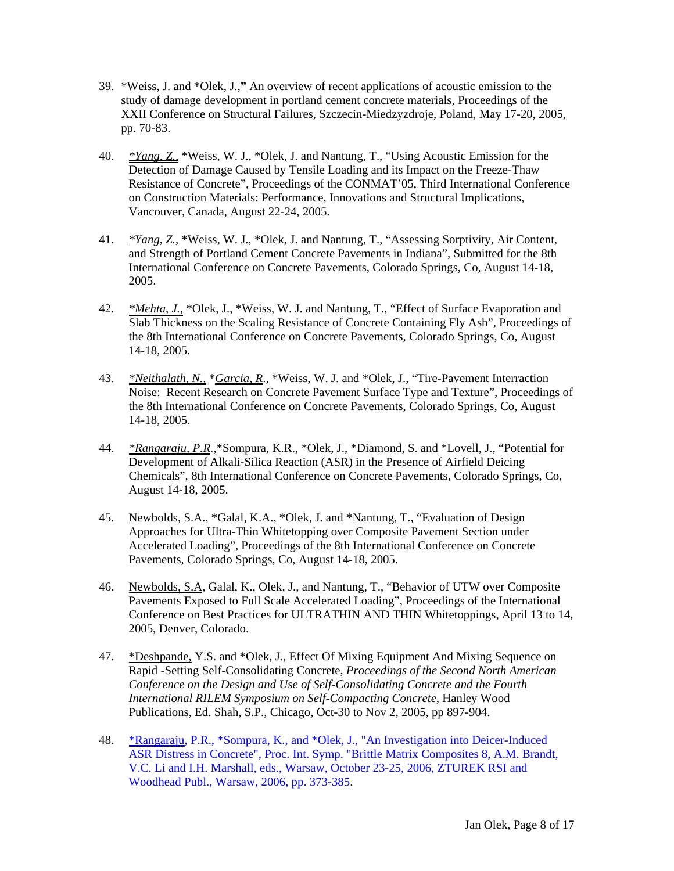- 39. \*Weiss, J. and \*Olek, J.,**"** An overview of recent applications of acoustic emission to the study of damage development in portland cement concrete materials, Proceedings of the XXII Conference on Structural Failures, Szczecin-Miedzyzdroje, Poland, May 17-20, 2005, pp. 70-83.
- 40. *\*Yang, Z.,* \*Weiss, W. J., \*Olek, J. and Nantung, T., "Using Acoustic Emission for the Detection of Damage Caused by Tensile Loading and its Impact on the Freeze-Thaw Resistance of Concrete", Proceedings of the CONMAT'05, Third International Conference on Construction Materials: Performance, Innovations and Structural Implications, Vancouver, Canada, August 22-24, 2005.
- 41. *\*Yang, Z.,* \*Weiss, W. J., \*Olek, J. and Nantung, T., "Assessing Sorptivity, Air Content, and Strength of Portland Cement Concrete Pavements in Indiana", Submitted for the 8th International Conference on Concrete Pavements, Colorado Springs, Co, August 14-18, 2005.
- 42. *\*Mehta, J.,* \*Olek, J., \*Weiss, W. J. and Nantung, T., "Effect of Surface Evaporation and Slab Thickness on the Scaling Resistance of Concrete Containing Fly Ash", Proceedings of the 8th International Conference on Concrete Pavements, Colorado Springs, Co, August 14-18, 2005.
- 43. *\*Neithalath, N.,* \**Garcia, R*., \*Weiss, W. J. and \*Olek, J., "Tire-Pavement Interraction Noise: Recent Research on Concrete Pavement Surface Type and Texture", Proceedings of the 8th International Conference on Concrete Pavements, Colorado Springs, Co, August 14-18, 2005.
- 44. *\*Rangaraju, P.R.,*\*Sompura, K.R.*,* \*Olek, J., \*Diamond, S. and \*Lovell, J., "Potential for Development of Alkali-Silica Reaction (ASR) in the Presence of Airfield Deicing Chemicals", 8th International Conference on Concrete Pavements, Colorado Springs, Co, August 14-18, 2005.
- 45. Newbolds, S.A., \*Galal, K.A., \*Olek, J. and \*Nantung, T., "Evaluation of Design Approaches for Ultra-Thin Whitetopping over Composite Pavement Section under Accelerated Loading", Proceedings of the 8th International Conference on Concrete Pavements, Colorado Springs, Co, August 14-18, 2005.
- 46. Newbolds, S.A, Galal, K., Olek, J., and Nantung, T., "Behavior of UTW over Composite Pavements Exposed to Full Scale Accelerated Loading", Proceedings of the International Conference on Best Practices for ULTRATHIN AND THIN Whitetoppings, April 13 to 14, 2005, Denver, Colorado.
- 47. \* Deshpande, Y.S. and \* Olek, J., Effect Of Mixing Equipment And Mixing Sequence on Rapid -Setting Self-Consolidating Concrete, *Proceedings of the Second North American Conference on the Design and Use of Self-Consolidating Concrete and the Fourth International RILEM Symposium on Self-Compacting Concrete*, Hanley Wood Publications, Ed. Shah, S.P., Chicago, Oct-30 to Nov 2, 2005, pp 897-904.
- 48. \*Rangaraju, P.R., \*Sompura, K., and \*Olek, J., "An Investigation into Deicer-Induced ASR Distress in Concrete", Proc. Int. Symp. "Brittle Matrix Composites 8, A.M. Brandt, V.C. Li and I.H. Marshall, eds., Warsaw, October 23-25, 2006, ZTUREK RSI and Woodhead Publ., Warsaw, 2006, pp. 373-385.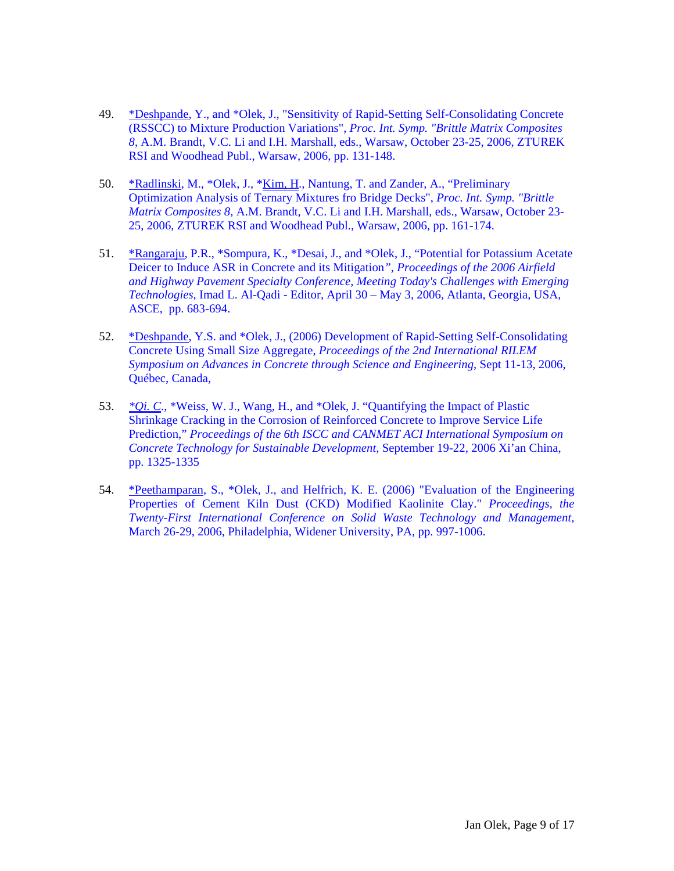- 49. \*Deshpande, Y., and \*Olek, J., "Sensitivity of Rapid-Setting Self-Consolidating Concrete (RSSCC) to Mixture Production Variations", *Proc. Int. Symp. "Brittle Matrix Composites 8*, A.M. Brandt, V.C. Li and I.H. Marshall, eds., Warsaw, October 23-25, 2006, ZTUREK RSI and Woodhead Publ., Warsaw, 2006, pp. 131-148.
- 50. \*Radlinski, M., \*Olek, J., \*Kim, H., Nantung, T. and Zander, A., "Preliminary Optimization Analysis of Ternary Mixtures fro Bridge Decks", *Proc. Int. Symp. "Brittle Matrix Composites 8*, A.M. Brandt, V.C. Li and I.H. Marshall, eds., Warsaw, October 23- 25, 2006, ZTUREK RSI and Woodhead Publ., Warsaw, 2006, pp. 161-174.
- 51. \*Rangaraju, P.R., \*Sompura, K., \*Desai, J., and \*Olek, J., "Potential for Potassium Acetate Deicer to Induce ASR in Concrete and its Mitigation*", Proceedings of the 2006 Airfield and Highway Pavement Specialty Conference, Meeting Today's Challenges with Emerging Technologies*, Imad L. Al-Qadi - Editor, April 30 – May 3, 2006, Atlanta, Georgia, USA, ASCE, pp. 683-694.
- 52. \*Deshpande, Y.S. and \*Olek, J., (2006) Development of Rapid-Setting Self-Consolidating Concrete Using Small Size Aggregate, *Proceedings of the 2nd International RILEM Symposium on Advances in Concrete through Science and Engineering*, Sept 11-13, 2006, Québec, Canada,
- 53. *\*Qi. C*., \*Weiss, W. J., Wang, H., and \*Olek, J. "Quantifying the Impact of Plastic Shrinkage Cracking in the Corrosion of Reinforced Concrete to Improve Service Life Prediction," *Proceedings of the 6th ISCC and CANMET ACI International Symposium on Concrete Technology for Sustainable Development*, September 19-22, 2006 Xi'an China, pp. 1325-1335
- 54. \*Peethamparan, S., \*Olek, J., and Helfrich, K. E. (2006) "Evaluation of the Engineering Properties of Cement Kiln Dust (CKD) Modified Kaolinite Clay." *Proceedings, the Twenty-First International Conference on Solid Waste Technology and Management,* March 26-29, 2006, Philadelphia, Widener University, PA, pp. 997-1006.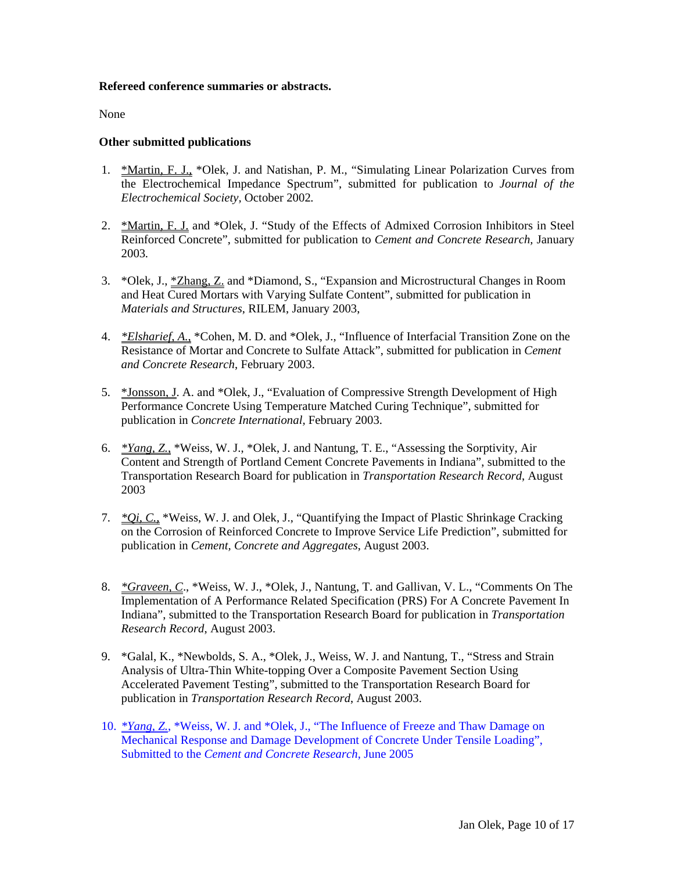### **Refereed conference summaries or abstracts.**

None

# **Other submitted publications**

- 1. \*Martin, F. J., \*Olek, J. and Natishan, P. M., "Simulating Linear Polarization Curves from the Electrochemical Impedance Spectrum", submitted for publication to *Journal of the Electrochemical Society,* October 2002*.*
- 2. \*Martin, F. J. and \*Olek, J. "Study of the Effects of Admixed Corrosion Inhibitors in Steel Reinforced Concrete", submitted for publication to *Cement and Concrete Research,* January 2003*.*
- 3. \*Olek, J., \*Zhang, Z. and \*Diamond, S., "Expansion and Microstructural Changes in Room and Heat Cured Mortars with Varying Sulfate Content", submitted for publication in *Materials and Structures*, RILEM, January 2003,
- 4. *\*Elsharief, A.*, \*Cohen, M. D. and \*Olek, J., "Influence of Interfacial Transition Zone on the Resistance of Mortar and Concrete to Sulfate Attack", submitted for publication in *Cement and Concrete Research*, February 2003.
- 5. \*Jonsson, J. A. and \*Olek, J., "Evaluation of Compressive Strength Development of High Performance Concrete Using Temperature Matched Curing Technique", submitted for publication in *Concrete International,* February 2003.
- 6. *\*Yang, Z.*, \*Weiss, W. J., \*Olek, J. and Nantung, T. E., "Assessing the Sorptivity, Air Content and Strength of Portland Cement Concrete Pavements in Indiana", submitted to the Transportation Research Board for publication in *Transportation Research Record*, August 2003
- 7. *\*Qi, C.*, \*Weiss, W. J. and Olek, J., "Quantifying the Impact of Plastic Shrinkage Cracking on the Corrosion of Reinforced Concrete to Improve Service Life Prediction", submitted for publication in *Cement, Concrete and Aggregates*, August 2003.
- 8. *\*Graveen, C*., \*Weiss, W. J., \*Olek, J., Nantung, T. and Gallivan, V. L., "Comments On The Implementation of A Performance Related Specification (PRS) For A Concrete Pavement In Indiana", submitted to the Transportation Research Board for publication in *Transportation Research Record*, August 2003.
- 9. \*Galal, K., \*Newbolds, S. A., \*Olek, J., Weiss, W. J. and Nantung, T., "Stress and Strain Analysis of Ultra-Thin White-topping Over a Composite Pavement Section Using Accelerated Pavement Testing", submitted to the Transportation Research Board for publication in *Transportation Research Record*, August 2003.
- 10. *\*Yang, Z.*, \*Weiss, W. J. and \*Olek, J., "The Influence of Freeze and Thaw Damage on Mechanical Response and Damage Development of Concrete Under Tensile Loading", Submitted to the *Cement and Concrete Research*, June 2005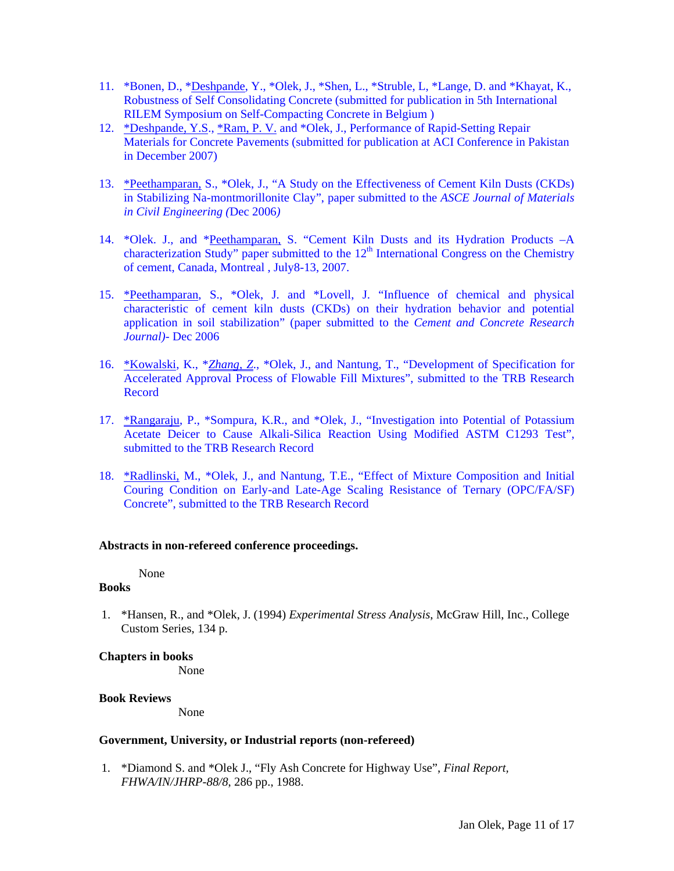- 11. \*Bonen, D., \*Deshpande, Y., \*Olek, J., \*Shen, L., \*Struble, L, \*Lange, D. and \*Khayat, K., Robustness of Self Consolidating Concrete (submitted for publication in 5th International RILEM Symposium on Self-Compacting Concrete in Belgium )
- 12. \*Deshpande, Y.S., \*Ram, P. V. and \*Olek, J., Performance of Rapid-Setting Repair Materials for Concrete Pavements (submitted for publication at ACI Conference in Pakistan in December 2007)
- 13. \*Peethamparan, S., \*Olek, J., "A Study on the Effectiveness of Cement Kiln Dusts (CKDs) in Stabilizing Na-montmorillonite Clay", paper submitted to the *ASCE Journal of Materials in Civil Engineering (*Dec 2006*)*
- 14. \*Olek. J., and \*Peethamparan, S. "Cement Kiln Dusts and its Hydration Products –A characterization Study" paper submitted to the  $12<sup>th</sup>$  International Congress on the Chemistry of cement, Canada, Montreal , July8-13, 2007.
- 15. \*Peethamparan, S., \*Olek, J. and \*Lovell, J. "Influence of chemical and physical characteristic of cement kiln dusts (CKDs) on their hydration behavior and potential application in soil stabilization" (paper submitted to the *Cement and Concrete Research Journal)-* Dec 2006
- 16. \*Kowalski, K., \**Zhang, Z*., \*Olek, J., and Nantung, T., "Development of Specification for Accelerated Approval Process of Flowable Fill Mixtures", submitted to the TRB Research Record
- 17. \*Rangaraju, P., \*Sompura, K.R., and \*Olek, J., "Investigation into Potential of Potassium Acetate Deicer to Cause Alkali-Silica Reaction Using Modified ASTM C1293 Test", submitted to the TRB Research Record
- 18. \*Radlinski, M., \*Olek, J., and Nantung, T.E., "Effect of Mixture Composition and Initial Couring Condition on Early-and Late-Age Scaling Resistance of Ternary (OPC/FA/SF) Concrete", submitted to the TRB Research Record

#### **Abstracts in non-refereed conference proceedings.**

None

## **Books**

1. \*Hansen, R., and \*Olek, J. (1994) *Experimental Stress Analysis*, McGraw Hill, Inc., College Custom Series, 134 p.

#### **Chapters in books**

None

#### **Book Reviews**

None

#### **Government, University, or Industrial reports (non-refereed)**

1. \*Diamond S. and \*Olek J., "Fly Ash Concrete for Highway Use", *Final Report, FHWA/IN/JHRP-88/8*, 286 pp., 1988.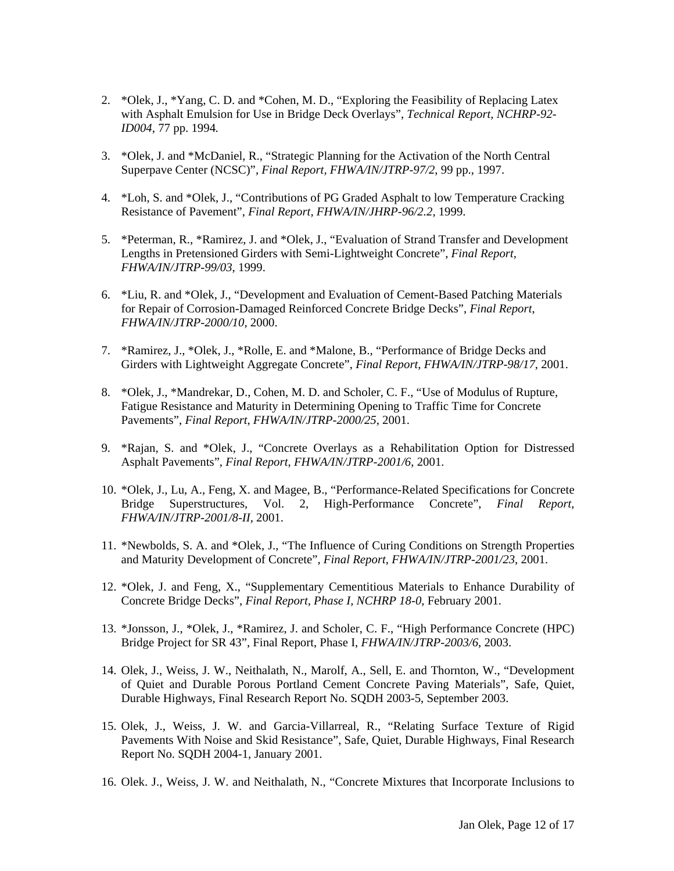- 2. \*Olek, J., \*Yang, C. D. and \*Cohen, M. D., "Exploring the Feasibility of Replacing Latex with Asphalt Emulsion for Use in Bridge Deck Overlays", *Technical Report, NCHRP-92- ID004*, 77 pp. 1994*.*
- 3. \*Olek, J. and \*McDaniel, R., "Strategic Planning for the Activation of the North Central Superpave Center (NCSC)", *Final Report, FHWA/IN/JTRP-97/2*, 99 pp., 1997.
- 4. \*Loh, S. and \*Olek, J., "Contributions of PG Graded Asphalt to low Temperature Cracking Resistance of Pavement", *Final Report, FHWA/IN/JHRP-96/2.2*, 1999.
- 5. \*Peterman, R., \*Ramirez, J. and \*Olek, J., "Evaluation of Strand Transfer and Development Lengths in Pretensioned Girders with Semi-Lightweight Concrete", *Final Report, FHWA/IN/JTRP-99/03*, 1999.
- 6. \*Liu, R. and \*Olek, J., "Development and Evaluation of Cement-Based Patching Materials for Repair of Corrosion-Damaged Reinforced Concrete Bridge Decks", *Final Report*, *FHWA/IN/JTRP-2000/10*, 2000.
- 7. \*Ramirez, J., \*Olek, J., \*Rolle, E. and \*Malone, B., "Performance of Bridge Decks and Girders with Lightweight Aggregate Concrete", *Final Report*, *FHWA/IN/JTRP-98/17*, 2001.
- 8. \*Olek, J., \*Mandrekar, D., Cohen, M. D. and Scholer, C. F., "Use of Modulus of Rupture, Fatigue Resistance and Maturity in Determining Opening to Traffic Time for Concrete Pavements", *Final Report*, *FHWA/IN/JTRP-2000/25*, 2001.
- 9. \*Rajan, S. and \*Olek, J., "Concrete Overlays as a Rehabilitation Option for Distressed Asphalt Pavements", *Final Report*, *FHWA/IN/JTRP-2001/6*, 2001.
- 10. \*Olek, J., Lu, A., Feng, X. and Magee, B., "Performance-Related Specifications for Concrete Bridge Superstructures, Vol. 2, High-Performance Concrete", *Final Report*, *FHWA/IN/JTRP-2001/8-II*, 2001.
- 11. \*Newbolds, S. A. and \*Olek, J., "The Influence of Curing Conditions on Strength Properties and Maturity Development of Concrete", *Final Report*, *FHWA/IN/JTRP-2001/23*, 2001.
- 12. \*Olek, J. and Feng, X., "Supplementary Cementitious Materials to Enhance Durability of Concrete Bridge Decks", *Final Report, Phase I, NCHRP 18-0*, February 2001.
- 13. \*Jonsson, J., \*Olek, J., \*Ramirez, J. and Scholer, C. F., "High Performance Concrete (HPC) Bridge Project for SR 43", Final Report, Phase I, *FHWA/IN/JTRP-2003/6*, 2003.
- 14. Olek, J., Weiss, J. W., Neithalath, N., Marolf, A., Sell, E. and Thornton, W., "Development of Quiet and Durable Porous Portland Cement Concrete Paving Materials", Safe, Quiet, Durable Highways, Final Research Report No. SQDH 2003-5, September 2003.
- 15. Olek, J., Weiss, J. W. and Garcia-Villarreal, R., "Relating Surface Texture of Rigid Pavements With Noise and Skid Resistance", Safe, Quiet, Durable Highways, Final Research Report No. SQDH 2004-1, January 2001.
- 16. Olek. J., Weiss, J. W. and Neithalath, N., "Concrete Mixtures that Incorporate Inclusions to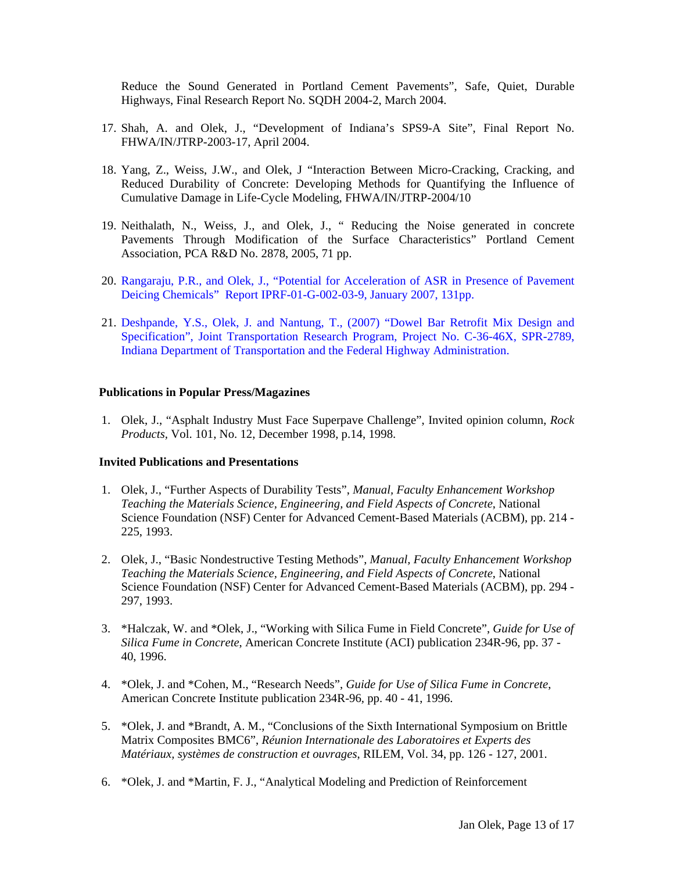Reduce the Sound Generated in Portland Cement Pavements", Safe, Quiet, Durable Highways, Final Research Report No. SQDH 2004-2, March 2004.

- 17. Shah, A. and Olek, J., "Development of Indiana's SPS9-A Site", Final Report No. FHWA/IN/JTRP-2003-17, April 2004.
- 18. Yang, Z., Weiss, J.W., and Olek, J "Interaction Between Micro-Cracking, Cracking, and Reduced Durability of Concrete: Developing Methods for Quantifying the Influence of Cumulative Damage in Life-Cycle Modeling, FHWA/IN/JTRP-2004/10
- 19. Neithalath, N., Weiss, J., and Olek, J., " Reducing the Noise generated in concrete Pavements Through Modification of the Surface Characteristics" Portland Cement Association, PCA R&D No. 2878, 2005, 71 pp.
- 20. Rangaraju, P.R., and Olek, J., "Potential for Acceleration of ASR in Presence of Pavement Deicing Chemicals" Report IPRF-01-G-002-03-9, January 2007, 131pp.
- 21. Deshpande, Y.S., Olek, J. and Nantung, T., (2007) "Dowel Bar Retrofit Mix Design and Specification", Joint Transportation Research Program, Project No. C-36-46X, SPR-2789, Indiana Department of Transportation and the Federal Highway Administration.

## **Publications in Popular Press/Magazines**

1. Olek, J., "Asphalt Industry Must Face Superpave Challenge", Invited opinion column, *Rock Products,* Vol. 101, No. 12, December 1998, p.14, 1998.

#### **Invited Publications and Presentations**

- 1. Olek, J., "Further Aspects of Durability Tests", *Manual, Faculty Enhancement Workshop Teaching the Materials Science, Engineering, and Field Aspects of Concrete*, National Science Foundation (NSF) Center for Advanced Cement-Based Materials (ACBM), pp. 214 - 225, 1993.
- 2. Olek, J., "Basic Nondestructive Testing Methods", *Manual, Faculty Enhancement Workshop Teaching the Materials Science, Engineering, and Field Aspects of Concrete*, National Science Foundation (NSF) Center for Advanced Cement-Based Materials (ACBM), pp. 294 - 297, 1993.
- 3. \*Halczak, W. and \*Olek, J., "Working with Silica Fume in Field Concrete", *Guide for Use of Silica Fume in Concrete*, American Concrete Institute (ACI) publication 234R-96*,* pp. 37 - 40, 1996.
- 4. \*Olek, J. and \*Cohen, M., "Research Needs", *Guide for Use of Silica Fume in Concrete*, American Concrete Institute publication 234R-96*,* pp. 40 - 41, 1996.
- 5. \*Olek, J. and \*Brandt, A. M., "Conclusions of the Sixth International Symposium on Brittle Matrix Composites BMC6", *Réunion Internationale des Laboratoires et Experts des Matériaux, systèmes de construction et ouvrages*, RILEM, Vol. 34, pp. 126 - 127, 2001.
- 6. \*Olek, J. and \*Martin, F. J., "Analytical Modeling and Prediction of Reinforcement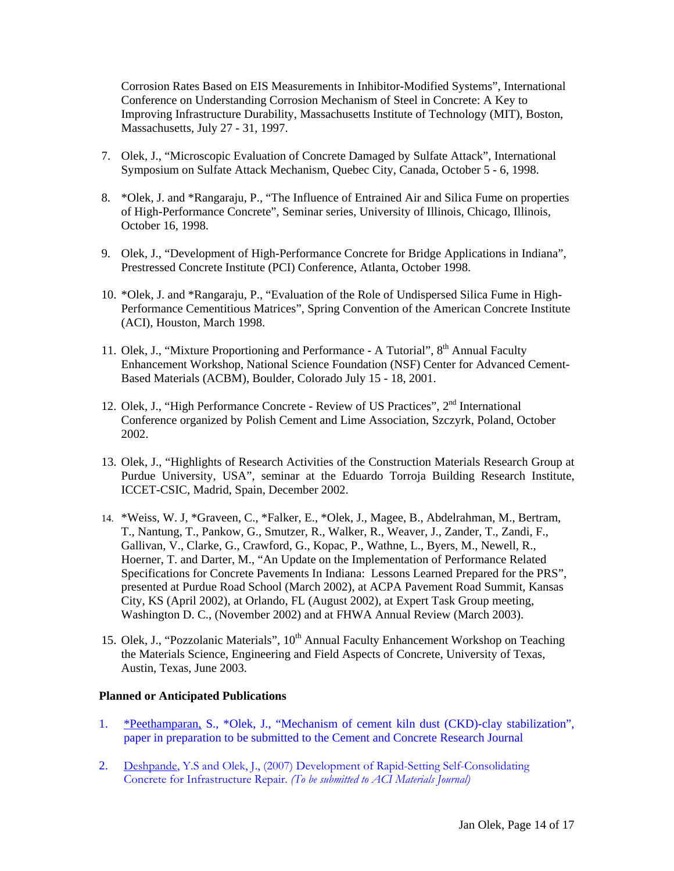Corrosion Rates Based on EIS Measurements in Inhibitor-Modified Systems", International Conference on Understanding Corrosion Mechanism of Steel in Concrete: A Key to Improving Infrastructure Durability, Massachusetts Institute of Technology (MIT), Boston, Massachusetts, July 27 - 31, 1997.

- 7. Olek, J., "Microscopic Evaluation of Concrete Damaged by Sulfate Attack", International Symposium on Sulfate Attack Mechanism, Quebec City, Canada, October 5 - 6, 1998.
- 8. \* Olek, J. and \* Rangaraju, P., "The Influence of Entrained Air and Silica Fume on properties of High-Performance Concrete", Seminar series, University of Illinois, Chicago, Illinois, October 16, 1998.
- 9. Olek, J., "Development of High-Performance Concrete for Bridge Applications in Indiana", Prestressed Concrete Institute (PCI) Conference, Atlanta, October 1998.
- 10. \*Olek, J. and \*Rangaraju, P., "Evaluation of the Role of Undispersed Silica Fume in High-Performance Cementitious Matrices", Spring Convention of the American Concrete Institute (ACI), Houston, March 1998.
- 11. Olek, J., "Mixture Proportioning and Performance A Tutorial", 8<sup>th</sup> Annual Faculty Enhancement Workshop, National Science Foundation (NSF) Center for Advanced Cement-Based Materials (ACBM), Boulder, Colorado July 15 - 18, 2001.
- 12. Olek, J., "High Performance Concrete Review of US Practices", 2<sup>nd</sup> International Conference organized by Polish Cement and Lime Association, Szczyrk, Poland, October 2002.
- 13. Olek, J., "Highlights of Research Activities of the Construction Materials Research Group at Purdue University, USA", seminar at the Eduardo Torroja Building Research Institute, ICCET-CSIC, Madrid, Spain, December 2002.
- 14. \*Weiss, W. J, \*Graveen, C., \*Falker, E., \*Olek, J., Magee, B., Abdelrahman, M., Bertram, T., Nantung, T., Pankow, G., Smutzer, R., Walker, R., Weaver, J., Zander, T., Zandi, F., Gallivan, V., Clarke, G., Crawford, G., Kopac, P., Wathne, L., Byers, M., Newell, R., Hoerner, T. and Darter, M., "An Update on the Implementation of Performance Related Specifications for Concrete Pavements In Indiana: Lessons Learned Prepared for the PRS", presented at Purdue Road School (March 2002), at ACPA Pavement Road Summit, Kansas City, KS (April 2002), at Orlando, FL (August 2002), at Expert Task Group meeting, Washington D. C., (November 2002) and at FHWA Annual Review (March 2003).
- 15. Olek, J., "Pozzolanic Materials", 10<sup>th</sup> Annual Faculty Enhancement Workshop on Teaching the Materials Science, Engineering and Field Aspects of Concrete, University of Texas, Austin, Texas, June 2003.

### **Planned or Anticipated Publications**

- 1. \*Peethamparan, S., \*Olek, J., "Mechanism of cement kiln dust (CKD)-clay stabilization", paper in preparation to be submitted to the Cement and Concrete Research Journal
- 2. Deshpande, Y.S and Olek, J., (2007) Development of Rapid-Setting Self-Consolidating Concrete for Infrastructure Repair. *(To be submitted to ACI Materials Journal)*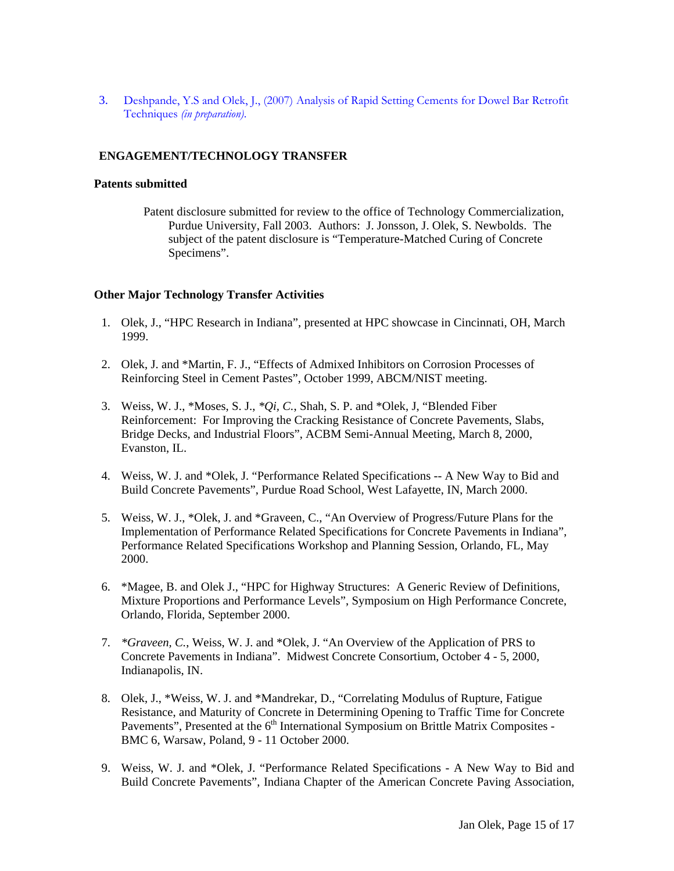3. Deshpande, Y.S and Olek, J., (2007) Analysis of Rapid Setting Cements for Dowel Bar Retrofit Techniques *(in preparation)*.

# **ENGAGEMENT/TECHNOLOGY TRANSFER**

## **Patents submitted**

Patent disclosure submitted for review to the office of Technology Commercialization, Purdue University, Fall 2003. Authors: J. Jonsson, J. Olek, S. Newbolds. The subject of the patent disclosure is "Temperature-Matched Curing of Concrete Specimens".

# **Other Major Technology Transfer Activities**

- 1. Olek, J., "HPC Research in Indiana", presented at HPC showcase in Cincinnati, OH, March 1999.
- 2. Olek, J. and \*Martin, F. J., "Effects of Admixed Inhibitors on Corrosion Processes of Reinforcing Steel in Cement Pastes", October 1999, ABCM/NIST meeting.
- 3. Weiss, W. J., \*Moses, S. J., *\*Qi, C.*, Shah, S. P. and \*Olek, J, "Blended Fiber Reinforcement: For Improving the Cracking Resistance of Concrete Pavements, Slabs, Bridge Decks, and Industrial Floors", ACBM Semi-Annual Meeting, March 8, 2000, Evanston, IL.
- 4. Weiss, W. J. and \*Olek, J. "Performance Related Specifications -- A New Way to Bid and Build Concrete Pavements", Purdue Road School, West Lafayette, IN, March 2000.
- 5. Weiss, W. J., \*Olek, J. and \*Graveen, C., "An Overview of Progress/Future Plans for the Implementation of Performance Related Specifications for Concrete Pavements in Indiana", Performance Related Specifications Workshop and Planning Session, Orlando, FL, May 2000.
- 6. \*Magee, B. and Olek J., "HPC for Highway Structures: A Generic Review of Definitions, Mixture Proportions and Performance Levels", Symposium on High Performance Concrete, Orlando, Florida, September 2000.
- 7. *\*Graveen, C.*, Weiss, W. J. and \*Olek, J. "An Overview of the Application of PRS to Concrete Pavements in Indiana". Midwest Concrete Consortium, October 4 - 5, 2000, Indianapolis, IN.
- 8. Olek, J., \*Weiss, W. J. and \*Mandrekar, D., "Correlating Modulus of Rupture, Fatigue Resistance, and Maturity of Concrete in Determining Opening to Traffic Time for Concrete Pavements", Presented at the 6<sup>th</sup> International Symposium on Brittle Matrix Composites -BMC 6, Warsaw, Poland, 9 - 11 October 2000.
- 9. Weiss, W. J. and \*Olek, J. "Performance Related Specifications A New Way to Bid and Build Concrete Pavements", Indiana Chapter of the American Concrete Paving Association,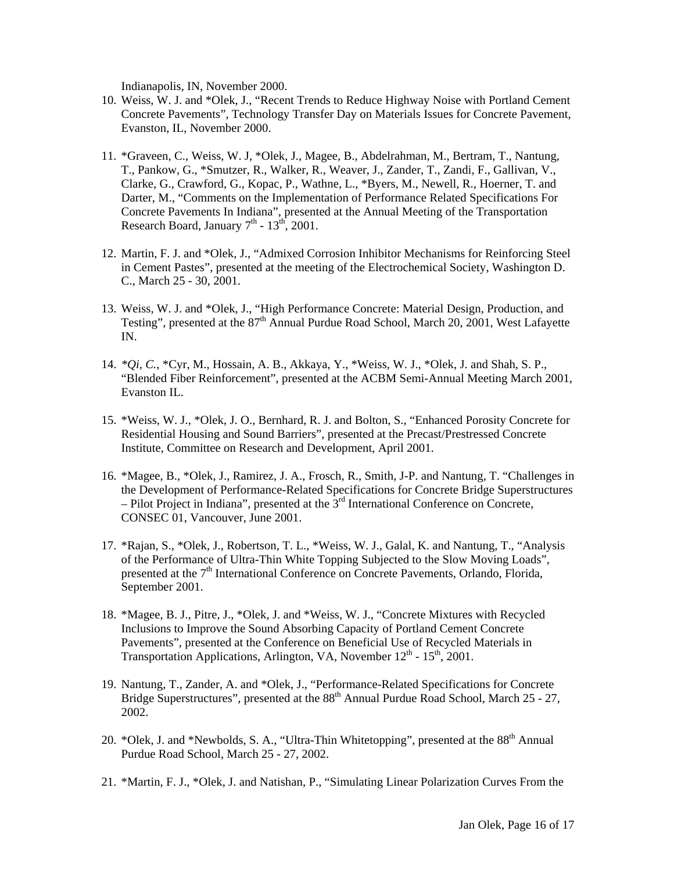Indianapolis, IN, November 2000.

- 10. Weiss, W. J. and \*Olek, J., "Recent Trends to Reduce Highway Noise with Portland Cement Concrete Pavements", Technology Transfer Day on Materials Issues for Concrete Pavement, Evanston, IL, November 2000.
- 11. \*Graveen, C., Weiss, W. J, \*Olek, J., Magee, B., Abdelrahman, M., Bertram, T., Nantung, T., Pankow, G., \*Smutzer, R., Walker, R., Weaver, J., Zander, T., Zandi, F., Gallivan, V., Clarke, G., Crawford, G., Kopac, P., Wathne, L., \*Byers, M., Newell, R., Hoerner, T. and Darter, M., "Comments on the Implementation of Performance Related Specifications For Concrete Pavements In Indiana", presented at the Annual Meeting of the Transportation Research Board, January  $7<sup>th</sup>$  -  $13<sup>th</sup>$ , 2001.
- 12. Martin, F. J. and \*Olek, J., "Admixed Corrosion Inhibitor Mechanisms for Reinforcing Steel in Cement Pastes", presented at the meeting of the Electrochemical Society, Washington D. C., March 25 - 30, 2001.
- 13. Weiss, W. J. and \*Olek, J., "High Performance Concrete: Material Design, Production, and Testing", presented at the  $87<sup>th</sup>$  Annual Purdue Road School, March 20, 2001, West Lafavette IN.
- 14. *\*Qi, C.*, \*Cyr, M., Hossain, A. B., Akkaya, Y., \*Weiss, W. J., \*Olek, J. and Shah, S. P., "Blended Fiber Reinforcement", presented at the ACBM Semi-Annual Meeting March 2001, Evanston IL.
- 15. \*Weiss, W. J., \*Olek, J. O., Bernhard, R. J. and Bolton, S., "Enhanced Porosity Concrete for Residential Housing and Sound Barriers", presented at the Precast/Prestressed Concrete Institute, Committee on Research and Development, April 2001.
- 16. \*Magee, B., \*Olek, J., Ramirez, J. A., Frosch, R., Smith, J-P. and Nantung, T. "Challenges in the Development of Performance-Related Specifications for Concrete Bridge Superstructures – Pilot Project in Indiana", presented at the  $3<sup>rd</sup>$  International Conference on Concrete, CONSEC 01, Vancouver, June 2001.
- 17. \*Rajan, S., \*Olek, J., Robertson, T. L., \*Weiss, W. J., Galal, K. and Nantung, T., "Analysis of the Performance of Ultra-Thin White Topping Subjected to the Slow Moving Loads", presented at the  $7<sup>th</sup>$  International Conference on Concrete Pavements, Orlando, Florida, September 2001.
- 18. \*Magee, B. J., Pitre, J., \*Olek, J. and \*Weiss, W. J., "Concrete Mixtures with Recycled Inclusions to Improve the Sound Absorbing Capacity of Portland Cement Concrete Pavements", presented at the Conference on Beneficial Use of Recycled Materials in Transportation Applications, Arlington, VA, November  $12^{th}$  -  $15^{th}$ , 2001.
- 19. Nantung, T., Zander, A. and \*Olek, J., "Performance-Related Specifications for Concrete Bridge Superstructures", presented at the 88<sup>th</sup> Annual Purdue Road School, March 25 - 27, 2002.
- 20. \*Olek, J. and \*Newbolds, S. A., "Ultra-Thin Whitetopping", presented at the 88<sup>th</sup> Annual Purdue Road School, March 25 - 27, 2002.
- 21. \*Martin, F. J., \*Olek, J. and Natishan, P., "Simulating Linear Polarization Curves From the